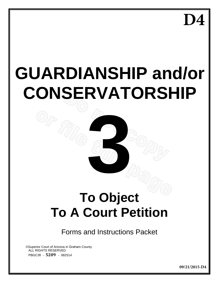**D4**

# **GUARDIANSHIP and/or CONSERVATORSHIP**

# **3 To Object To A Court Petition**

Forms and Instructions Packet

©Superior Court of Arizona in Graham County ALL RIGHTS RESERVED PBGC3fi - **5209** - 082514

**09/21/2015-D4**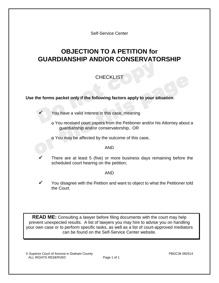Self-Service Center

# **OBJECTION TO A PETITION for GUARDIANSHIP AND/OR CONSERVATORSHIP**

# **CHECKLIST**

# **Use the forms packet only if the following factors apply to your situation**:

You have a valid interest in this case, meaning

- ס You received court papers from the Petitioner and/or his Attorney about a guardianship and/or conservatorship, OR
- ס You may be affected by the outcome of this case,

#### AND

 There are at least 5 (five) or more business days remaining before the scheduled court hearing on the petition;

### AND

 You disagree with the Petition and want to object to what the Petitioner told the Court.

**READ ME:** Consulting a lawyer before filing documents with the court may help prevent unexpected results. A list of lawyers you may hire to advise you on handling your own case or to perform specific tasks, as well as a list of court-approved mediators can be found on the Self-Service Center website.

© Superior Court of Arizona in Graham County PBGC3k 082514 ALL RIGHTS RESERVED Page 1 of 1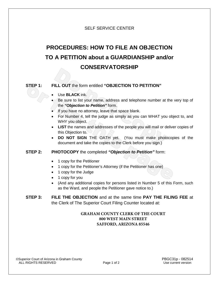# SELF SERVICE CENTER

# **PROCEDURES: HOW TO FILE AN OBJECTION TO A PETITION about a GUARDIANSHIP and/or CONSERVATORSHIP**

# **STEP 1: FILL OUT** the form entitled **"OBJECTION TO PETITION"**

- Use **BLACK** ink.
- Be sure to list your name, address and telephone number at the very top of the *"Objection to Petition"* form.
- If you have no attorney, leave that space blank.
- For Number 4, tell the judge as simply as you can WHAT you object to, and WHY you object.
- **LIST** the names and addresses of the people you will mail or deliver copies of this Objection to.
- **DO NOT SIGN** THE OATH yet. (You must make photocopies of the document and take the copies to the Clerk before you sign.)

### **STEP 2: PHOTOCOPY** the completed *"Objection to Petition"* form:

- 1 copy for the Petitioner
- 1 copy for the Petitioner's Attorney (if the Petitioner has one)
- 1 copy for the Judge
- 1 copy for you
- (And any additional copies for persons listed in Number 5 of this Form, such as the Ward, and people the Petitioner gave notice to.)

# **STEP 3: FILE THE OBJECTION** and at the same time **PAY THE FILING FEE** at the Clerk of The Superior Court Filing Counter located at:

# **GRAHAM COUNTY CLERK OF THE COURT 800 WEST MAIN STREET SAFFORD, ARIZONA 85546**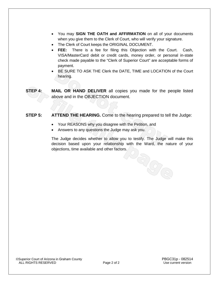- You may **SIGN THE OATH and AFFIRMATION** on all of your documents when you give them to the Clerk of Court, who will verify your signature.
- The Clerk of Court keeps the ORIGINAL DOCUMENT.
- **FEE:** There is a fee for filing this Objection with the Court. Cash, VISA/MasterCard debit or credit cards, money order, or personal in-state check made payable to the "Clerk of Superior Court" are acceptable forms of payment.
- BE SURE TO ASK THE Clerk the DATE, TIME and LOCATION of the Court hearing.
- **STEP 4: MAIL OR HAND DELIVER** all copies you made for the people listed above and in the OBJECTION document.

# **STEP 5: ATTEND THE HEARING.** Come to the hearing prepared to tell the Judge:

- Your REASONS why you disagree with the Petition, and
- Answers to any questions the Judge may ask you.

The Judge decides whether to allow you to testify. The Judge will make this decision based upon your relationship with the Ward, the nature of your objections, time available and other factors. OROLD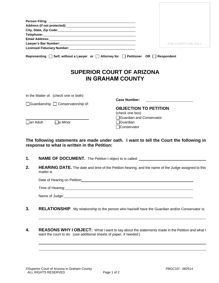| Lawyer's Bar Number: 1997<br>FOR CLERK'S USE ONLY<br>Representing $\Box$ Self, without a Lawyer or $\Box$ Attorney for $\Box$ Petitioner OR $\Box$ Respondent<br><b>SUPERIOR COURT OF ARIZONA</b><br><b>IN GRAHAM COUNTY</b><br>In the Matter of: (check one or both)<br><b>Case Number:</b><br>$\Box$ Guardianship $\Box$ Conservatorship of:<br><b>OBJECTION TO PETITION</b><br>(check one box)<br>□Guardian and Conservator<br><b>□a Minor</b><br>l lan Adult<br><b>IGuardian</b> |  |
|--------------------------------------------------------------------------------------------------------------------------------------------------------------------------------------------------------------------------------------------------------------------------------------------------------------------------------------------------------------------------------------------------------------------------------------------------------------------------------------|--|
|                                                                                                                                                                                                                                                                                                                                                                                                                                                                                      |  |
|                                                                                                                                                                                                                                                                                                                                                                                                                                                                                      |  |
|                                                                                                                                                                                                                                                                                                                                                                                                                                                                                      |  |
|                                                                                                                                                                                                                                                                                                                                                                                                                                                                                      |  |
|                                                                                                                                                                                                                                                                                                                                                                                                                                                                                      |  |
|                                                                                                                                                                                                                                                                                                                                                                                                                                                                                      |  |
|                                                                                                                                                                                                                                                                                                                                                                                                                                                                                      |  |
|                                                                                                                                                                                                                                                                                                                                                                                                                                                                                      |  |
|                                                                                                                                                                                                                                                                                                                                                                                                                                                                                      |  |
|                                                                                                                                                                                                                                                                                                                                                                                                                                                                                      |  |
|                                                                                                                                                                                                                                                                                                                                                                                                                                                                                      |  |
|                                                                                                                                                                                                                                                                                                                                                                                                                                                                                      |  |
|                                                                                                                                                                                                                                                                                                                                                                                                                                                                                      |  |
|                                                                                                                                                                                                                                                                                                                                                                                                                                                                                      |  |
|                                                                                                                                                                                                                                                                                                                                                                                                                                                                                      |  |
| Conservator                                                                                                                                                                                                                                                                                                                                                                                                                                                                          |  |

**The following statements are made under oath. I want to tell the Court the following in response to what is written in the Petition:** 

- **1. NAME OF DOCUMENT.** The Petition I object to is called:
- **2. HEARING DATE.** The date and time of the Petition hearing, and the name of the Judge assigned to this matter is

| Date of Hearing on Petition: |  |  |
|------------------------------|--|--|
| Time of Hearing:             |  |  |

|  |  | Name of Judge: |
|--|--|----------------|
|--|--|----------------|

- **3. RELATIONSHIP**. My relationship to the person who has/will have the Guardian and/or Conservator is:
- **4. REASONS WHY I OBJECT:** What I want to say about the statements made in the Petition and what I want the court to do: (use additional sheets of paper, if needed:)